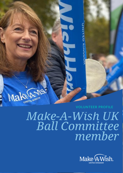

# *Make-A-Wish UK Ball Committee member*

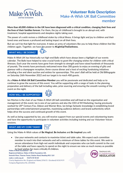

## **Volunteer Role Description** Make-A-Wish UK Ball Committee member

**More than 60,000 children in the UK have been diagnosed with a critical condition, changing their lives and the lives of their families forever.** For them, the joy of childhood is brought to an abrupt end, with treatment, hospital appointments and sleepless nights taking over.

The power of a wish revives a childhood stolen by critical illness. It brings light and joy to children and their loved ones and leaves a profound and lasting impact on all their lives.

But we can't be that light for everyone. It takes an army of volunteers like you to help these children feel like children again. Together, we have the power to **#LightUpTheDarkness.**

#### **WHAT WILL I BE DOING?**



Make-A-Wish UK has historically run high-end Balls which have always been a highlight of our events calendar. The Balls have helped to raise crucial funds to grant life-changing wishes for children with critical illnesses. Each year the events have gone from strength to strength and have raised hundreds of thousands of pounds. The events have previously welcomed more than 300 guests to enjoy an evening of glitz and glamour with a champagne reception, three-course dinner and a host of exciting fundraising initiatives including a live and silent auction and wishes for sponsorships. This year's Ball will be held at Old Billingsgate on Saturday 26th November 2022 and our target is to reach 400 guests.

As a **Make-A-Wish UK Ball Committee Member** you will be passionate and dedicated and help us to continue to grow the success of this event. You will be supporting with a range of tasks in the planning, preparation and delivery of the ball including sales, prize sourcing and ensuring the smooth running of the event on the night.

#### **HOW WILL I BE SUPPORTED?**



Ian Morton is the chair of our Make-A-Wish UK ball committee and will lead on the organisation and management of this event. Ian is one of our patrons and also the CEO of IM Marketing; having previously worked for 20<sup>th</sup> Century Fox, Odeon and Warner Bros. Ian brings fantastic knowledge in establishing brand partnerships with entertainment properties, maximising audience delivery and brand authenticity which helps drive the success and continued growth of this event.

As well as being supported by Ian, you will receive support from our special events and volunteering teams and have the opportunity to participate in volunteer activities including training and our Volunteer Voices sessions.

### **WHAT ARE MY CORE TASKS?**



Using the Make-A-Wish values of **Be Magical**, **Be Inclusive** and **Be Inspired** you will:

• Use your networks and contacts to maximise ticket and table sales. We expect each committee member to reach into their networks and sell a minimum of three tables for this event. We seek to secure attendance from high-net worth individuals and corporates who can both commit to the cost of the table and have capacity to spend on the night to ensure we raise as much money as possible to fund wishes for more critically ill children.

Registered Address: Make-A-Wish Foundation UK, Seventh Floor, Thames Tower, Station Road, Reading RG1 1LX make-a-wish.org.uk 01276 40 50 60 Charity Registration No. (England and Wales) 295672 / (Scotland) SC037479 Company Registration No. 2031836

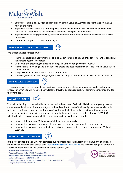

- Source at least 5 silent auction prizes with a minimum value of £250 for the silent auction that we host on the night
- Support in securing once-in-a-lifetime prizes for the main auction these would be at a minimum value of £7,000 and we ask all committee members to help in securing these
- Support with securing sponsorship, entertainment and other opportunities to maximise the success of the ball
- Attend and support the event on the night

#### **WHAT SKILLS/ATTRIBUTES DO I NEED?**

We are looking for someone who:

- Has the contacts and networks to be able to maximise table sales and prize sourcing, and is confident in approaching those contacts
- Can commit to attending committee meetings in London, roughly every 6 weeks
- Has the skills, knowledge and experience to create the best experience possible for high value guests and celebrities
- Is organised and able to think on their feet if needed
- Is flexible, self-motivated, energetic, enthusiastic and passionate about the work of Make-A-Wish

#### **WHERE WILL I BE BASED?**

This volunteer role can be done flexibly and from home in terms of engaging your networks and sourcing prizes. However, you will need to be available to travel to London regularly for committee meetings and for the event itself.

#### **WHAT DO I GAIN?**



You will be helping to raise valuable funds that make the wishes of critically ill children and young people come true and making a difference not just to their lives, but to that of their family members. A wish builds resilience, confidence, hope and aspirations within the wish child, as well as creating lasting memories. Through supporting our special events you will also be helping to raise the profile of Make-A-Wish UK which will help us to reach more children and communities. In addition, you will:

- Be part of the national Make-A-Wish UK team and community
- Be impactful, by using your own skills and expertise and develop new skills and knowledge
- Be impactful, by using your contacts and networks to raise both the funds and profile of Make-A-Wish UK

#### **HOW DO I FIND OUT MORE?**



If this role sounds like you why not complete our volunteer application form. If you have any questions or would like an informal chat please email [volunteering@makeawish.org.uk](mailto:volunteering@makeawish.org.uk) and we will arrange for either our Special Events Officer or the Committee Chair to contact you.

Make-A-Wish Foundation® UK Registered Address: Make-A-Wish Foundation UK, Seventh Floor, Thames Tower, Station Road, Reading RG1 1LX make-a-wish.org.uk 01276 40 50 60 Charity Registration No. (England and Wales) 295672 / (Scotland) SC037479 Company Registration No. 2031836